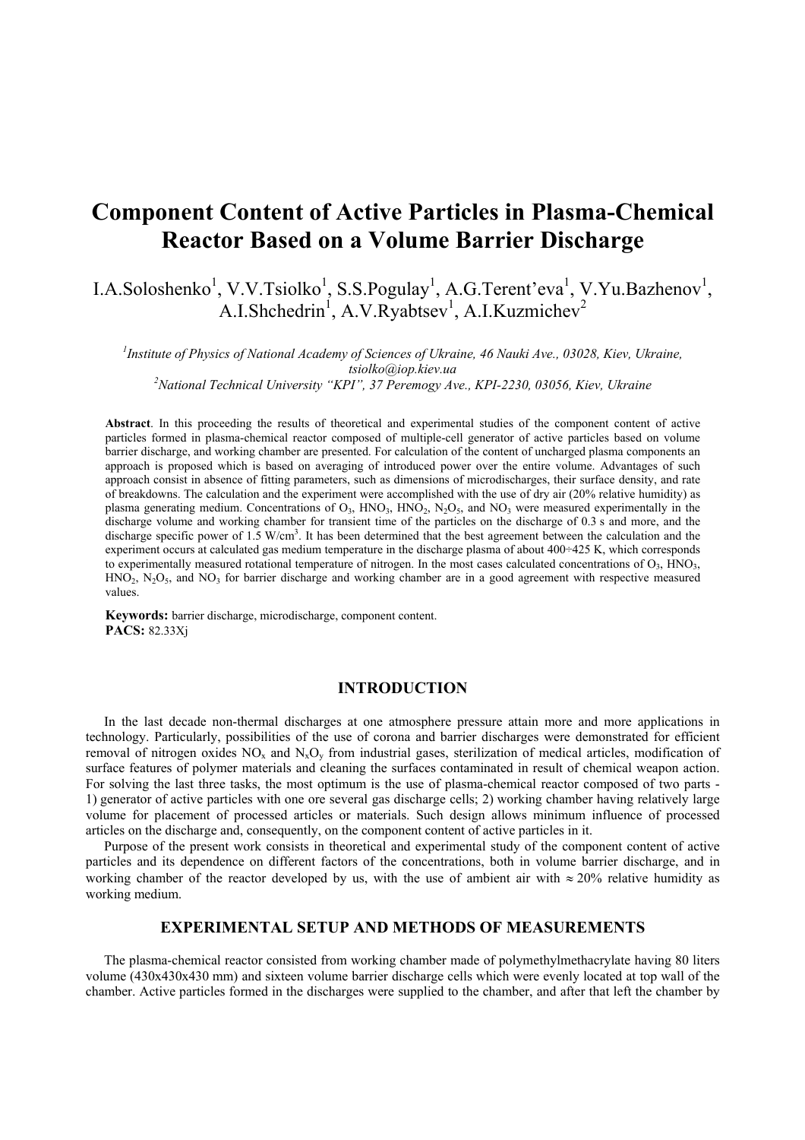# **Component Content of Active Particles in Plasma-Chemical Reactor Based on a Volume Barrier Discharge**

I.A.Soloshenko<sup>1</sup>, V.V.Tsiolko<sup>1</sup>, S.S.Pogulay<sup>1</sup>, A.G.Terent'eva<sup>1</sup>, V.Yu.Bazhenov<sup>1</sup>, A.I.Shchedrin<sup>1</sup>, A.V.Ryabtsev<sup>1</sup>, A.I.Kuzmichev<sup>2</sup>

*1 Institute of Physics of National Academy of Sciences of Ukraine, 46 Nauki Ave., 03028, Kiev, Ukraine, tsiolko@iop.kiev.ua <sup>2</sup> National Technical University "KPI", 37 Peremogy Ave., KPI-2230, 03056, Kiev, Ukraine*

**Abstract**. In this proceeding the results of theoretical and experimental studies of the component content of active particles formed in plasma-chemical reactor composed of multiple-cell generator of active particles based on volume barrier discharge, and working chamber are presented. For calculation of the content of uncharged plasma components an approach is proposed which is based on averaging of introduced power over the entire volume. Advantages of such approach consist in absence of fitting parameters, such as dimensions of microdischarges, their surface density, and rate of breakdowns. The calculation and the experiment were accomplished with the use of dry air (20% relative humidity) as plasma generating medium. Concentrations of  $O_3$ , HNO<sub>3</sub>, HNO<sub>2</sub>, N<sub>2</sub>O<sub>5</sub>, and NO<sub>3</sub> were measured experimentally in the discharge volume and working chamber for transient time of the particles on the discharge of 0.3 s and more, and the discharge specific power of 1.5 W/cm<sup>3</sup>. It has been determined that the best agreement between the calculation and the experiment occurs at calculated gas medium temperature in the discharge plasma of about 400÷425 K, which corresponds to experimentally measured rotational temperature of nitrogen. In the most cases calculated concentrations of  $O<sub>3</sub>$ , HNO<sub>3</sub>,  $HNO<sub>2</sub>$ , N<sub>2</sub>O<sub>5</sub>, and NO<sub>3</sub> for barrier discharge and working chamber are in a good agreement with respective measured values.

**Keywords:** barrier discharge, microdischarge, component content. **PACS:** 82.33Xj

#### **INTRODUCTION**

In the last decade non-thermal discharges at one atmosphere pressure attain more and more applications in technology. Particularly, possibilities of the use of corona and barrier discharges were demonstrated for efficient removal of nitrogen oxides  $NO_x$  and  $N_xO_y$  from industrial gases, sterilization of medical articles, modification of surface features of polymer materials and cleaning the surfaces contaminated in result of chemical weapon action. For solving the last three tasks, the most optimum is the use of plasma-chemical reactor composed of two parts - 1) generator of active particles with one ore several gas discharge cells; 2) working chamber having relatively large volume for placement of processed articles or materials. Such design allows minimum influence of processed articles on the discharge and, consequently, on the component content of active particles in it.

Purpose of the present work consists in theoretical and experimental study of the component content of active particles and its dependence on different factors of the concentrations, both in volume barrier discharge, and in working chamber of the reactor developed by us, with the use of ambient air with ≈ 20% relative humidity as working medium.

#### **EXPERIMENTAL SETUP AND METHODS OF MEASUREMENTS**

The plasma-chemical reactor consisted from working chamber made of polymethylmethacrylate having 80 liters volume (430x430x430 mm) and sixteen volume barrier discharge cells which were evenly located at top wall of the chamber. Active particles formed in the discharges were supplied to the chamber, and after that left the chamber by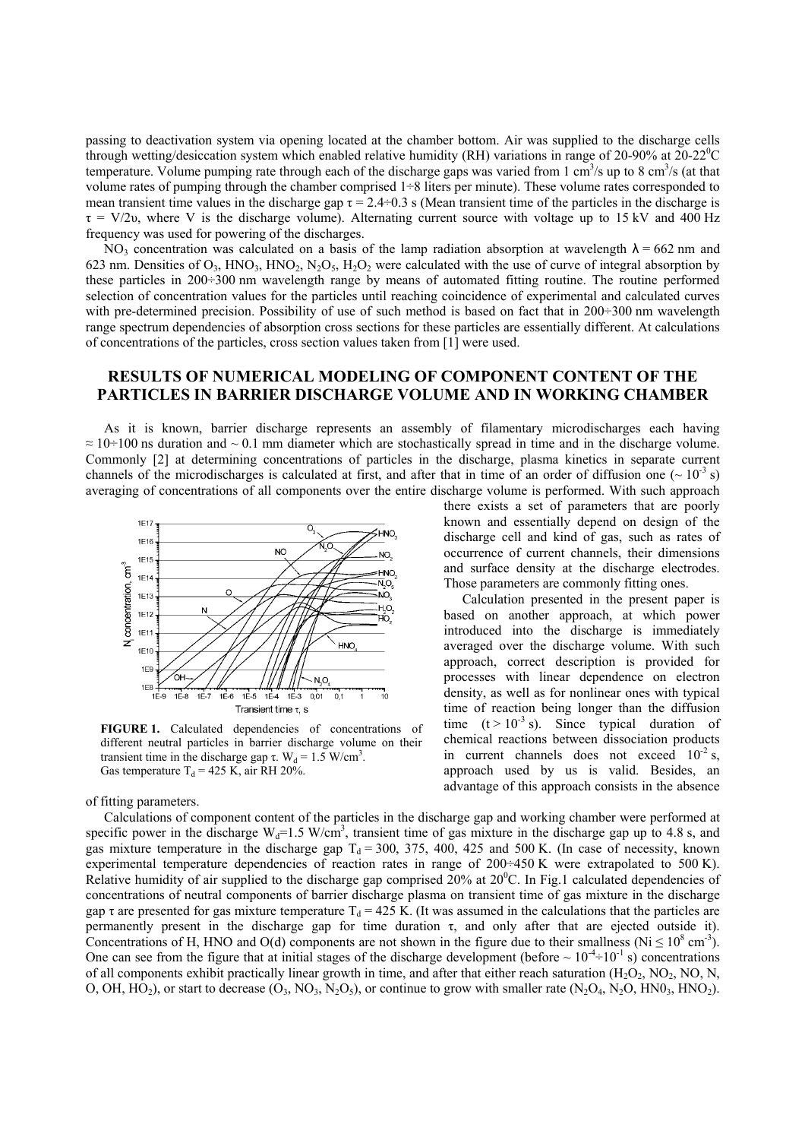passing to deactivation system via opening located at the chamber bottom. Air was supplied to the discharge cells through wetting/desiccation system which enabled relative humidity (RH) variations in range of 20-90% at 20-22<sup>0</sup> C temperature. Volume pumping rate through each of the discharge gaps was varied from 1 cm<sup>3</sup>/s up to 8 cm<sup>3</sup>/s (at that volume rates of pumping through the chamber comprised 1÷8 liters per minute). These volume rates corresponded to mean transient time values in the discharge gap  $\tau = 2.4 \div 0.3$  s (Mean transient time of the particles in the discharge is  $\tau = V/2v$ , where V is the discharge volume). Alternating current source with voltage up to 15 kV and 400 Hz frequency was used for powering of the discharges.

NO<sub>3</sub> concentration was calculated on a basis of the lamp radiation absorption at wavelength  $\lambda = 662$  nm and 623 nm. Densities of  $O_3$ , HNO<sub>3</sub>, HNO<sub>2</sub>, N<sub>2</sub>O<sub>5</sub>, H<sub>2</sub>O<sub>2</sub> were calculated with the use of curve of integral absorption by these particles in 200÷300 nm wavelength range by means of automated fitting routine. The routine performed selection of concentration values for the particles until reaching coincidence of experimental and calculated curves with pre-determined precision. Possibility of use of such method is based on fact that in 200÷300 nm wavelength range spectrum dependencies of absorption cross sections for these particles are essentially different. At calculations of concentrations of the particles, cross section values taken from [1] were used.

## **RESULTS OF NUMERICAL MODELING OF COMPONENT CONTENT OF THE PARTICLES IN BARRIER DISCHARGE VOLUME AND IN WORKING CHAMBER**

As it is known, barrier discharge represents an assembly of filamentary microdischarges each having  $\approx 10\div 100$  ns duration and  $\sim 0.1$  mm diameter which are stochastically spread in time and in the discharge volume. Commonly [2] at determining concentrations of particles in the discharge, plasma kinetics in separate current channels of the microdischarges is calculated at first, and after that in time of an order of diffusion one ( $\sim 10^{-3}$  s) averaging of concentrations of all components over the entire discharge volume is performed. With such approach



**FIGURE 1.** Calculated dependencies of concentrations of different neutral particles in barrier discharge volume on their transient time in the discharge gap τ. W<sub>d</sub> = 1.5 W/cm<sup>3</sup>. Gas temperature  $T_d = 425$  K, air RH 20%.

of fitting parameters.

there exists a set of parameters that are poorly known and essentially depend on design of the discharge cell and kind of gas, such as rates of occurrence of current channels, their dimensions and surface density at the discharge electrodes. Those parameters are commonly fitting ones.

Calculation presented in the present paper is based on another approach, at which power introduced into the discharge is immediately averaged over the discharge volume. With such approach, correct description is provided for processes with linear dependence on electron density, as well as for nonlinear ones with typical time of reaction being longer than the diffusion time  $(t > 10^{-3} s)$ . Since typical duration of chemical reactions between dissociation products in current channels does not exceed  $10^{-2}$  s, approach used by us is valid. Besides, an advantage of this approach consists in the absence

Calculations of component content of the particles in the discharge gap and working chamber were performed at specific power in the discharge  $W_d$ =1.5 W/cm<sup>3</sup>, transient time of gas mixture in the discharge gap up to 4.8 s, and gas mixture temperature in the discharge gap  $T_d = 300$ , 375, 400, 425 and 500 K. (In case of necessity, known experimental temperature dependencies of reaction rates in range of 200÷450 K were extrapolated to 500 K). Relative humidity of air supplied to the discharge gap comprised  $20%$  at  $20^{\circ}$ C. In Fig.1 calculated dependencies of concentrations of neutral components of barrier discharge plasma on transient time of gas mixture in the discharge gap  $\tau$  are presented for gas mixture temperature T<sub>d</sub> = 425 K. (It was assumed in the calculations that the particles are permanently present in the discharge gap for time duration τ, and only after that are ejected outside it). Concentrations of H, HNO and O(d) components are not shown in the figure due to their smallness ( $Ni \leq 10^8$  cm<sup>-3</sup>). One can see from the figure that at initial stages of the discharge development (before  $\sim 10^{-4}$ +10<sup>-1</sup> s) concentrations of all components exhibit practically linear growth in time, and after that either reach saturation  $(H_2O_2, NO_2, NO, N,$ O, OH, HO<sub>2</sub>), or start to decrease (O<sub>3</sub>, NO<sub>3</sub>, N<sub>2</sub>O<sub>5</sub>), or continue to grow with smaller rate (N<sub>2</sub>O<sub>4</sub>, N<sub>2</sub>O, HNO<sub>3</sub>, HNO<sub>2</sub>).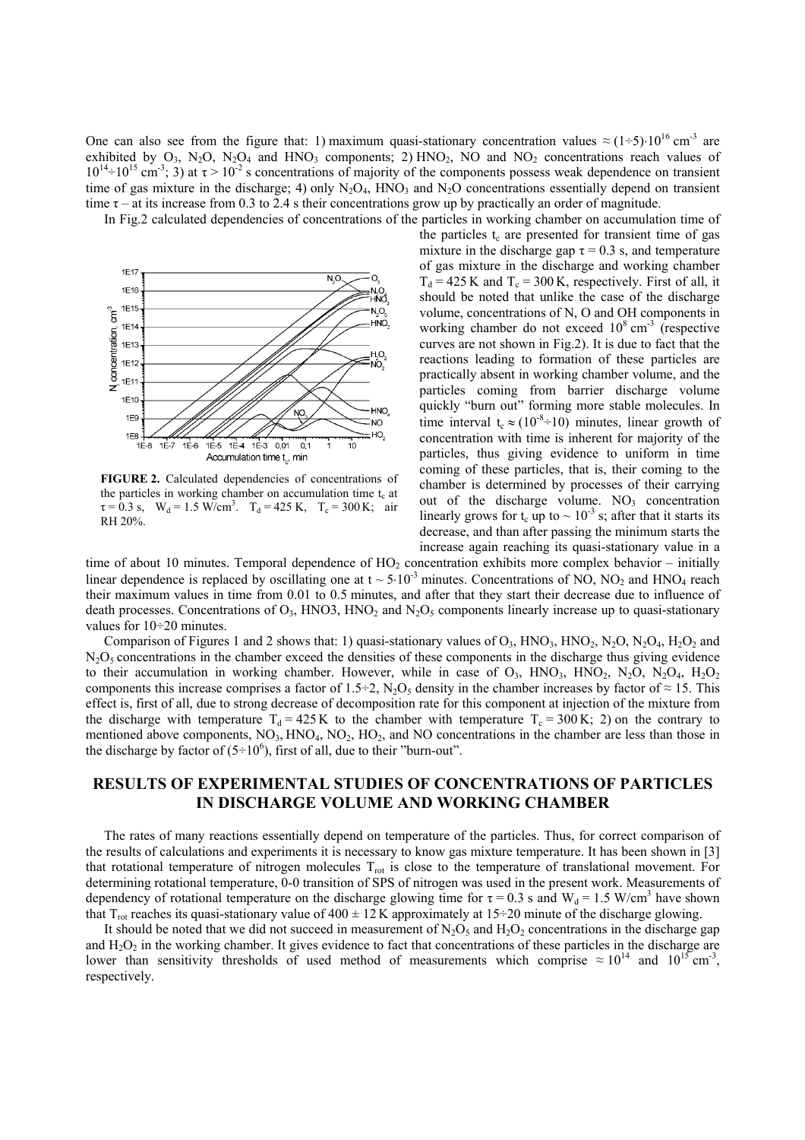One can also see from the figure that: 1) maximum quasi-stationary concentration values  $\approx (1\div 5) \cdot 10^{16}$  cm<sup>-3</sup> are exhibited by  $O_3$ , N<sub>2</sub>O, N<sub>2</sub>O<sub>4</sub> and HNO<sub>3</sub> components; 2) HNO<sub>2</sub>, NO and NO<sub>2</sub> concentrations reach values of  $10^{14}$  =  $10^{15}$  cm<sup>-3</sup>; 3) at  $\tau > 10^{-2}$  s concentrations of majority of the components possess weak dependence on transient time of gas mixture in the discharge; 4) only  $N_2O_4$ , HNO<sub>3</sub> and  $N_2O$  concentrations essentially depend on transient time  $\tau$  – at its increase from 0.3 to 2.4 s their concentrations grow up by practically an order of magnitude.

In Fig.2 calculated dependencies of concentrations of the particles in working chamber on accumulation time of



**FIGURE 2.** Calculated dependencies of concentrations of the particles in working chamber on accumulation time  $t_c$  at  $\tau = 0.3$  s,  $W_d = 1.5$  W/cm<sup>3</sup>.  $T_d = 425$  K,  $T_c = 300$  K; air RH 20%.

the particles  $t_c$  are presented for transient time of gas mixture in the discharge gap  $\tau = 0.3$  s, and temperature of gas mixture in the discharge and working chamber  $T_d = 425$  K and  $T_c = 300$  K, respectively. First of all, it should be noted that unlike the case of the discharge volume, concentrations of N, O and OH components in working chamber do not exceed  $10^8$  cm<sup>-3</sup> (respective curves are not shown in Fig.2). It is due to fact that the reactions leading to formation of these particles are practically absent in working chamber volume, and the particles coming from barrier discharge volume quickly "burn out" forming more stable molecules. In time interval t<sub>c</sub> ≈ (10<sup>-8</sup>+10) minutes, linear growth of concentration with time is inherent for majority of the particles, thus giving evidence to uniform in time coming of these particles, that is, their coming to the chamber is determined by processes of their carrying out of the discharge volume.  $NO<sub>3</sub>$  concentration linearly grows for t<sub>c</sub> up to  $\sim 10^{-3}$  s; after that it starts its decrease, and than after passing the minimum starts the increase again reaching its quasi-stationary value in a

time of about 10 minutes. Temporal dependence of  $HO<sub>2</sub>$  concentration exhibits more complex behavior – initially linear dependence is replaced by oscillating one at  $t \sim 5.10^{-3}$  minutes. Concentrations of NO, NO<sub>2</sub> and HNO<sub>4</sub> reach their maximum values in time from 0.01 to 0.5 minutes, and after that they start their decrease due to influence of death processes. Concentrations of  $O_3$ , HNO3, HNO<sub>2</sub> and N<sub>2</sub>O<sub>5</sub> components linearly increase up to quasi-stationary values for 10÷20 minutes.

Comparison of Figures 1 and 2 shows that: 1) quasi-stationary values of  $O_3$ , HNO<sub>3</sub>, HNO<sub>2</sub>, N<sub>2</sub>O<sub>2</sub>, H<sub>2</sub>O<sub>2</sub> and  $N<sub>2</sub>O<sub>5</sub>$  concentrations in the chamber exceed the densities of these components in the discharge thus giving evidence to their accumulation in working chamber. However, while in case of  $O_3$ ,  $HNO_3$ ,  $HNO_2$ ,  $N_2O_4$ ,  $N_2O_4$ ,  $H_2O_2$ components this increase comprises a factor of 1.5÷2, N<sub>2</sub>O<sub>5</sub> density in the chamber increases by factor of  $\approx$  15. This effect is, first of all, due to strong decrease of decomposition rate for this component at injection of the mixture from the discharge with temperature  $T_d = 425 \text{ K}$  to the chamber with temperature  $T_c = 300 \text{ K}$ ; 2) on the contrary to mentioned above components,  $NO_3$ ,  $HNO_4$ ,  $NO_2$ ,  $HO_2$ , and  $NO$  concentrations in the chamber are less than those in the discharge by factor of  $(5\div 10^6)$ , first of all, due to their "burn-out".

## **RESULTS OF EXPERIMENTAL STUDIES OF CONCENTRATIONS OF PARTICLES IN DISCHARGE VOLUME AND WORKING CHAMBER**

The rates of many reactions essentially depend on temperature of the particles. Thus, for correct comparison of the results of calculations and experiments it is necessary to know gas mixture temperature. It has been shown in [3] that rotational temperature of nitrogen molecules  $T_{rot}$  is close to the temperature of translational movement. For determining rotational temperature, 0-0 transition of SPS of nitrogen was used in the present work. Measurements of dependency of rotational temperature on the discharge glowing time for  $\tau = 0.3$  s and W<sub>d</sub> = 1.5 W/cm<sup>3</sup> have shown that  $T_{rot}$  reaches its quasi-stationary value of 400  $\pm$  12 K approximately at 15÷20 minute of the discharge glowing.

It should be noted that we did not succeed in measurement of  $N_2O_5$  and  $H_2O_2$  concentrations in the discharge gap and  $H_2O_2$  in the working chamber. It gives evidence to fact that concentrations of these particles in the discharge are lower than sensitivity thresholds of used method of measurements which comprise  $\approx 10^{14}$  and  $10^{15}$  cm<sup>-3</sup>, respectively.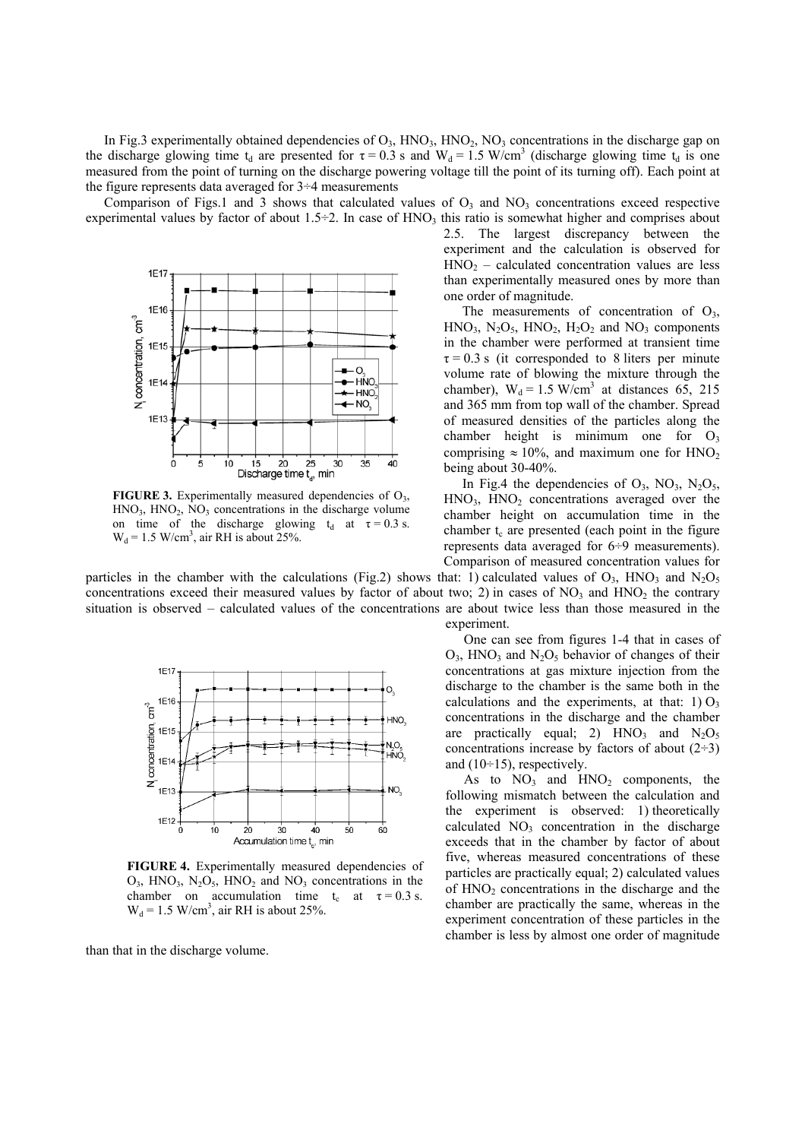In Fig.3 experimentally obtained dependencies of  $O_3$ , HNO<sub>3</sub>, HNO<sub>2</sub>, NO<sub>3</sub> concentrations in the discharge gap on the discharge glowing time t<sub>d</sub> are presented for  $\tau = 0.3$  s and W<sub>d</sub> = 1.5 W/cm<sup>3</sup> (discharge glowing time t<sub>d</sub> is one measured from the point of turning on the discharge powering voltage till the point of its turning off). Each point at the figure represents data averaged for 3÷4 measurements

Comparison of Figs.1 and 3 shows that calculated values of  $O_3$  and  $NO_3$  concentrations exceed respective experimental values by factor of about  $1.5\div 2$ . In case of HNO<sub>3</sub> this ratio is somewhat higher and comprises about



**FIGURE 3.** Experimentally measured dependencies of  $O_3$ ,  $HNO<sub>3</sub>$ ,  $HNO<sub>2</sub>$ ,  $NO<sub>3</sub>$  concentrations in the discharge volume on time of the discharge glowing  $t_d$  at  $\tau = 0.3$  s.  $W_d = 1.5$  W/cm<sup>3</sup>, air RH is about 25%.

particles in the chamber with the calculations (Fig.2) shows that: 1) calculated values of  $O_3$ , HNO<sub>3</sub> and N<sub>2</sub>O<sub>5</sub> concentrations exceed their measured values by factor of about two; 2) in cases of  $NO<sub>3</sub>$  and  $HNO<sub>2</sub>$  the contrary situation is observed – calculated values of the concentrations are about twice less than those measured in the



FIGURE 4. Experimentally measured dependencies of  $O_3$ , HNO<sub>3</sub>, N<sub>2</sub>O<sub>5</sub>, HNO<sub>2</sub> and NO<sub>3</sub> concentrations in the chamber on accumulation time t<sub>c</sub> at  $\tau = 0.3$  s.  $W_d = 1.5$  W/cm<sup>3</sup>, air RH is about 25%.

than that in the discharge volume.

experiment.

One can see from figures 1-4 that in cases of  $O_3$ , HNO<sub>3</sub> and N<sub>2</sub>O<sub>5</sub> behavior of changes of their concentrations at gas mixture injection from the discharge to the chamber is the same both in the calculations and the experiments, at that:  $1) O_3$ concentrations in the discharge and the chamber are practically equal; 2)  $HNO_3$  and  $N_2O_5$ concentrations increase by factors of about  $(2-3)$ and  $(10\div 15)$ , respectively.

2.5. The largest discrepancy between the experiment and the calculation is observed for  $HNO<sub>2</sub> - calculated concentration values are less$ than experimentally measured ones by more than

The measurements of concentration of  $O<sub>3</sub>$ ,  $HNO<sub>3</sub>$ ,  $N<sub>2</sub>O<sub>5</sub>$ ,  $HNO<sub>2</sub>$ ,  $H<sub>2</sub>O<sub>2</sub>$  and  $NO<sub>3</sub>$  components in the chamber were performed at transient time  $\tau = 0.3$  s (it corresponded to 8 liters per minute volume rate of blowing the mixture through the chamber),  $W_d = 1.5$  W/cm<sup>3</sup> at distances 65, 215 and 365 mm from top wall of the chamber. Spread of measured densities of the particles along the chamber height is minimum one for  $O_3$ comprising  $\approx 10\%$ , and maximum one for HNO<sub>2</sub>

In Fig.4 the dependencies of  $O_3$ ,  $NO_3$ ,  $N_2O_5$ ,  $HNO<sub>3</sub>$ ,  $HNO<sub>2</sub>$  concentrations averaged over the chamber height on accumulation time in the chamber  $t_c$  are presented (each point in the figure represents data averaged for 6÷9 measurements). Comparison of measured concentration values for

one order of magnitude.

being about 30-40%.

As to  $NO_3$  and  $HNO_2$  components, the following mismatch between the calculation and the experiment is observed: 1) theoretically calculated  $NO<sub>3</sub>$  concentration in the discharge exceeds that in the chamber by factor of about five, whereas measured concentrations of these particles are practically equal; 2) calculated values of  $HNO<sub>2</sub>$  concentrations in the discharge and the chamber are practically the same, whereas in the experiment concentration of these particles in the chamber is less by almost one order of magnitude